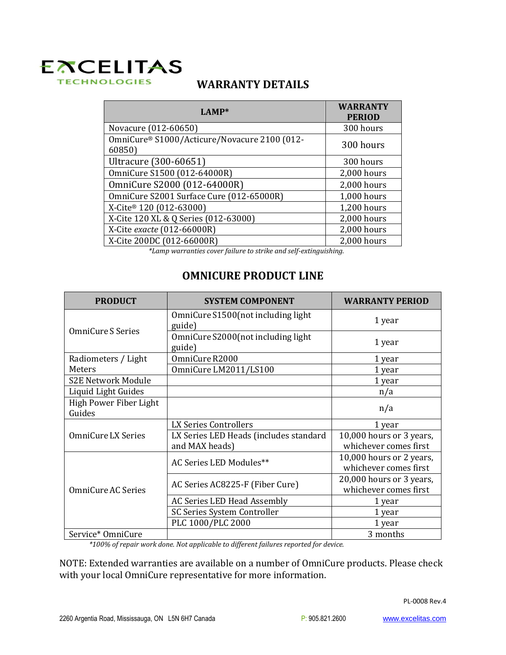## **EXCELITAS TECHNOLOGIES**

## **WARRANTY DETAILS**

| <b>WARRANTY</b><br><b>PERIOD</b> |
|----------------------------------|
| 300 hours                        |
| 300 hours                        |
| 300 hours                        |
| 2,000 hours                      |
| 2,000 hours                      |
| 1,000 hours                      |
| 1,200 hours                      |
| 2,000 hours                      |
| 2,000 hours                      |
| 2,000 hours<br>$\blacksquare$    |
|                                  |

*\*Lamp warranties cover failure to strike and self-extinguishing.* 

## **OMNICURE PRODUCT LINE**

| <b>PRODUCT</b>                   | <b>SYSTEM COMPONENT</b>                                  | <b>WARRANTY PERIOD</b>                            |
|----------------------------------|----------------------------------------------------------|---------------------------------------------------|
| OmniCure S Series                | OmniCure S1500 (not including light<br>guide)            | 1 year                                            |
|                                  | OmniCure S2000(not including light<br>guide)             | 1 year                                            |
| Radiometers / Light              | OmniCure R2000                                           | 1 year                                            |
| Meters                           | OmniCure LM2011/LS100                                    | 1 year                                            |
| <b>S2E Network Module</b>        |                                                          | 1 year                                            |
| Liquid Light Guides              |                                                          | n/a                                               |
| High Power Fiber Light<br>Guides |                                                          | n/a                                               |
| OmniCure LX Series               | LX Series Controllers                                    | 1 year                                            |
|                                  | LX Series LED Heads (includes standard<br>and MAX heads) | 10,000 hours or 3 years,<br>whichever comes first |
| <b>OmniCure AC Series</b>        | AC Series LED Modules**                                  | 10,000 hours or 2 years,<br>whichever comes first |
|                                  | AC Series AC8225-F (Fiber Cure)                          | 20,000 hours or 3 years,<br>whichever comes first |
|                                  | AC Series LED Head Assembly                              | 1 year                                            |
|                                  | SC Series System Controller                              | 1 year                                            |
|                                  | PLC 1000/PLC 2000                                        | 1 year                                            |
| Service* OmniCure                |                                                          | 3 months                                          |

*\*100% of repair work done. Not applicable to different failures reported for device.* 

NOTE: Extended warranties are available on a number of OmniCure products. Please check with your local OmniCure representative for more information.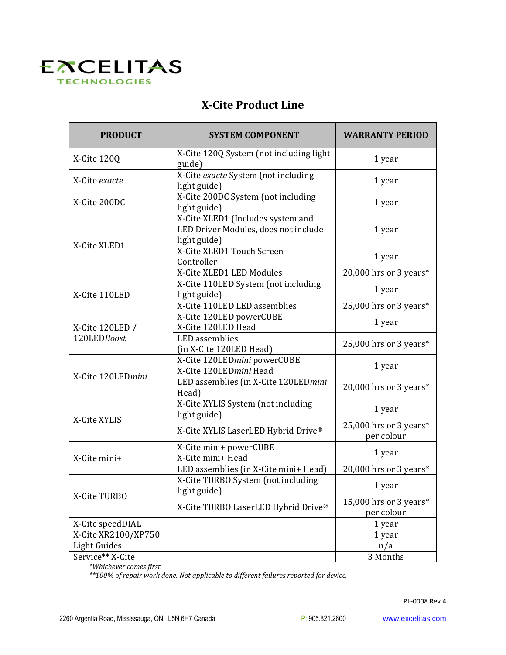

## **X-Cite Product Line**

| <b>PRODUCT</b>                 | <b>SYSTEM COMPONENT</b>                                                                   | <b>WARRANTY PERIOD</b>               |
|--------------------------------|-------------------------------------------------------------------------------------------|--------------------------------------|
| X-Cite 120Q                    | X-Cite 120Q System (not including light<br>guide)                                         | 1 year                               |
| X-Cite exacte                  | X-Cite exacte System (not including<br>light guide)                                       | 1 year                               |
| X-Cite 200DC                   | X-Cite 200DC System (not including<br>light guide)                                        | 1 year                               |
| X-Cite XLED1                   | X-Cite XLED1 (Includes system and<br>LED Driver Modules, does not include<br>light guide) | 1 year                               |
|                                | X-Cite XLED1 Touch Screen<br>Controller                                                   | 1 year                               |
|                                | X-Cite XLED1 LED Modules                                                                  | 20,000 hrs or 3 years*               |
| X-Cite 110LED                  | X-Cite 110LED System (not including<br>light guide)                                       | 1 year                               |
|                                | X-Cite 110LED LED assemblies                                                              | 25,000 hrs or 3 years*               |
| X-Cite 120LED /<br>120LEDBoost | X-Cite 120LED powerCUBE<br>X-Cite 120LED Head                                             | 1 year                               |
|                                | <b>LED</b> assemblies<br>(in X-Cite 120LED Head)                                          | 25,000 hrs or 3 years*               |
| X-Cite 120LEDmini              | X-Cite 120LEDmini powerCUBE<br>X-Cite 120LEDmini Head                                     | 1 year                               |
|                                | LED assemblies (in X-Cite 120LEDmini<br>Head)                                             | 20,000 hrs or 3 years*               |
| X-Cite XYLIS                   | X-Cite XYLIS System (not including<br>light guide)                                        | 1 year                               |
|                                | X-Cite XYLIS LaserLED Hybrid Drive®                                                       | 25,000 hrs or 3 years*<br>per colour |
| X-Cite mini+                   | X-Cite mini+ powerCUBE<br>X-Cite mini+ Head                                               | 1 year                               |
|                                | LED assemblies (in X-Cite mini+ Head)                                                     | 20,000 hrs or 3 years*               |
| X-Cite TURBO                   | X-Cite TURBO System (not including<br>light guide)                                        | 1 year                               |
|                                | X-Cite TURBO LaserLED Hybrid Drive®                                                       | 15,000 hrs or 3 years*<br>per colour |
| X-Cite speedDIAL               |                                                                                           | 1 year                               |
| X-Cite XR2100/XP750            |                                                                                           | 1 year                               |
| Light Guides                   |                                                                                           | n/a                                  |
| Service** X-Cite               |                                                                                           | 3 Months                             |

*\*Whichever comes first.*

*\*\*100% of repair work done. Not applicable to different failures reported for device.*